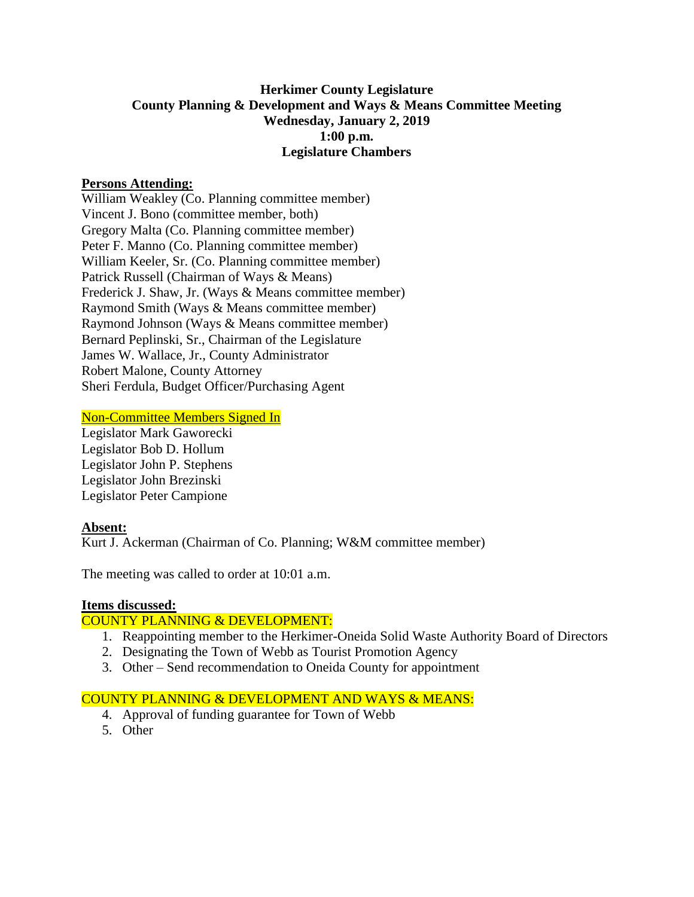# **Herkimer County Legislature County Planning & Development and Ways & Means Committee Meeting Wednesday, January 2, 2019 1:00 p.m. Legislature Chambers**

### **Persons Attending:**

William Weakley (Co. Planning committee member) Vincent J. Bono (committee member, both) Gregory Malta (Co. Planning committee member) Peter F. Manno (Co. Planning committee member) William Keeler, Sr. (Co. Planning committee member) Patrick Russell (Chairman of Ways & Means) Frederick J. Shaw, Jr. (Ways & Means committee member) Raymond Smith (Ways & Means committee member) Raymond Johnson (Ways & Means committee member) Bernard Peplinski, Sr., Chairman of the Legislature James W. Wallace, Jr., County Administrator Robert Malone, County Attorney Sheri Ferdula, Budget Officer/Purchasing Agent

# Non-Committee Members Signed In

Legislator Mark Gaworecki Legislator Bob D. Hollum Legislator John P. Stephens Legislator John Brezinski Legislator Peter Campione

#### **Absent:**

Kurt J. Ackerman (Chairman of Co. Planning; W&M committee member)

The meeting was called to order at 10:01 a.m.

#### **Items discussed:**

#### COUNTY PLANNING & DEVELOPMENT:

- 1. Reappointing member to the Herkimer-Oneida Solid Waste Authority Board of Directors
- 2. Designating the Town of Webb as Tourist Promotion Agency
- 3. Other Send recommendation to Oneida County for appointment

#### COUNTY PLANNING & DEVELOPMENT AND WAYS & MEANS:

- 4. Approval of funding guarantee for Town of Webb
- 5. Other